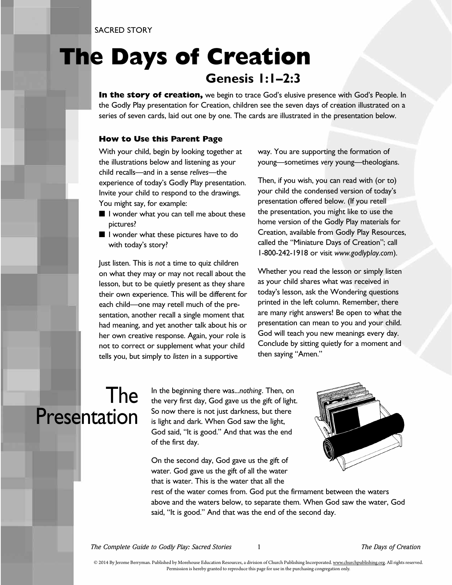#### **The Days of Creation Genesis 1:1–2:3**

**In the story of creation,** we begin to trace God's elusive presence with God's People. In the Godly Play presentation for Creation, children see the seven days of creation illustrated on a series of seven cards, laid out one by one. The cards are illustrated in the presentation below.

#### **How to Use this Parent Page**

With your child, begin by looking together at the illustrations below and listening as your child recalls—and in a sense *relives*—the experience of today's Godly Play presentation. Invite your child to respond to the drawings. You might say, for example:

- I wonder what you can tell me about these pictures?
- I wonder what these pictures have to do with today's story?

Just listen. This is *not* a time to quiz children on what they may or may not recall about the lesson, but to be quietly present as they share their own experience. This will be different for each child—one may retell much of the presentation, another recall a single moment that had meaning, and yet another talk about his or her own creative response. Again, your role is not to correct or supplement what your child tells you, but simply to *listen* in a supportive

way. You are supporting the formation of young—sometimes *very* young—theologians.

Then, if you wish, you can read with (or to) your child the condensed version of today's presentation offered below. (If you retell the presentation, you might like to use the home version of the Godly Play materials for Creation, available from Godly Play Resources, called the "Miniature Days of Creation"; call 1-800-242-1918 or visit *www.godlyplay.com*).

Whether you read the lesson or simply listen as your child shares what was received in today's lesson, ask the Wondering questions printed in the left column. Remember, there are many right answers! Be open to what the presentation can mean to you and your child. God will teach you new meanings every day. Conclude by sitting quietly for a moment and then saying "Amen."

### The Presentation

In the beginning there was...*nothing*. Then, on the very first day, God gave us the gift of light. So now there is not just darkness, but there is light and dark. When God saw the light, God said, "It is good." And that was the end of the first day.

On the second day, God gave us the gift of water. God gave us the gift of all the water that is water. This is the water that all the



rest of the water comes from. God put the firmament between the waters above and the waters below, to separate them. When God saw the water, God said, "It is good." And that was the end of the second day.

*The Complete Guide to Godly Play: Sacred Stories* 1 *The Days of Creation*